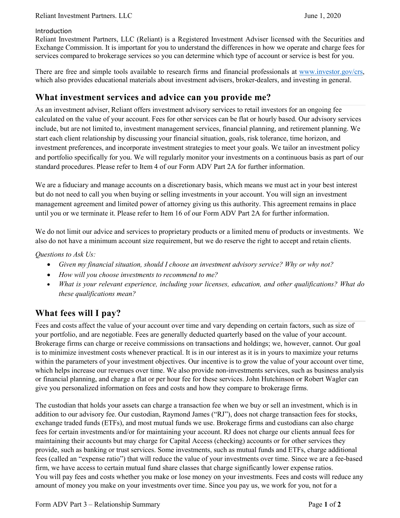#### Introduction

Reliant Investment Partners, LLC (Reliant) is a Registered Investment Adviser licensed with the Securities and Exchange Commission. It is important for you to understand the differences in how we operate and charge fees for services compared to brokerage services so you can determine which type of account or service is best for you.

There are free and simple tools available to research firms and financial professionals at www.investor.gov/crs, which also provides educational materials about investment advisers, broker-dealers, and investing in general.

## **What investment services and advice can you provide me?**

As an investment adviser, Reliant offers investment advisory services to retail investors for an ongoing fee calculated on the value of your account. Fees for other services can be flat or hourly based. Our advisory services include, but are not limited to, investment management services, financial planning, and retirement planning. We start each client relationship by discussing your financial situation, goals, risk tolerance, time horizon, and investment preferences, and incorporate investment strategies to meet your goals. We tailor an investment policy and portfolio specifically for you. We will regularly monitor your investments on a continuous basis as part of our standard procedures. Please refer to Item 4 of our Form ADV Part 2A for further information.

We are a fiduciary and manage accounts on a discretionary basis, which means we must act in your best interest but do not need to call you when buying or selling investments in your account. You will sign an investment management agreement and limited power of attorney giving us this authority. This agreement remains in place until you or we terminate it. Please refer to Item 16 of our Form ADV Part 2A for further information.

We do not limit our advice and services to proprietary products or a limited menu of products or investments. We also do not have a minimum account size requirement, but we do reserve the right to accept and retain clients.

### *Questions to Ask Us:*

- *Given my financial situation, should I choose an investment advisory service? Why or why not?*
- *How will you choose investments to recommend to me?*
- *What is your relevant experience, including your licenses, education, and other qualifications? What do these qualifications mean?*

# **What fees will I pay?**

Fees and costs affect the value of your account over time and vary depending on certain factors, such as size of your portfolio, and are negotiable. Fees are generally deducted quarterly based on the value of your account. Brokerage firms can charge or receive commissions on transactions and holdings; we, however, cannot. Our goal is to minimize investment costs whenever practical. It is in our interest as it is in yours to maximize your returns within the parameters of your investment objectives. Our incentive is to grow the value of your account over time, which helps increase our revenues over time. We also provide non-investments services, such as business analysis or financial planning, and charge a flat or per hour fee for these services. John Hutchinson or Robert Wagler can give you personalized information on fees and costs and how they compare to brokerage firms.

The custodian that holds your assets can charge a transaction fee when we buy or sell an investment, which is in addition to our advisory fee. Our custodian, Raymond James ("RJ"), does not charge transaction fees for stocks, exchange traded funds (ETFs), and most mutual funds we use. Brokerage firms and custodians can also charge fees for certain investments and/or for maintaining your account. RJ does not charge our clients annual fees for maintaining their accounts but may charge for Capital Access (checking) accounts or for other services they provide, such as banking or trust services. Some investments, such as mutual funds and ETFs, charge additional fees (called an "expense ratio") that will reduce the value of your investments over time. Since we are a fee-based firm, we have access to certain mutual fund share classes that charge significantly lower expense ratios. You will pay fees and costs whether you make or lose money on your investments. Fees and costs will reduce any amount of money you make on your investments over time. Since you pay us, we work for you, not for a